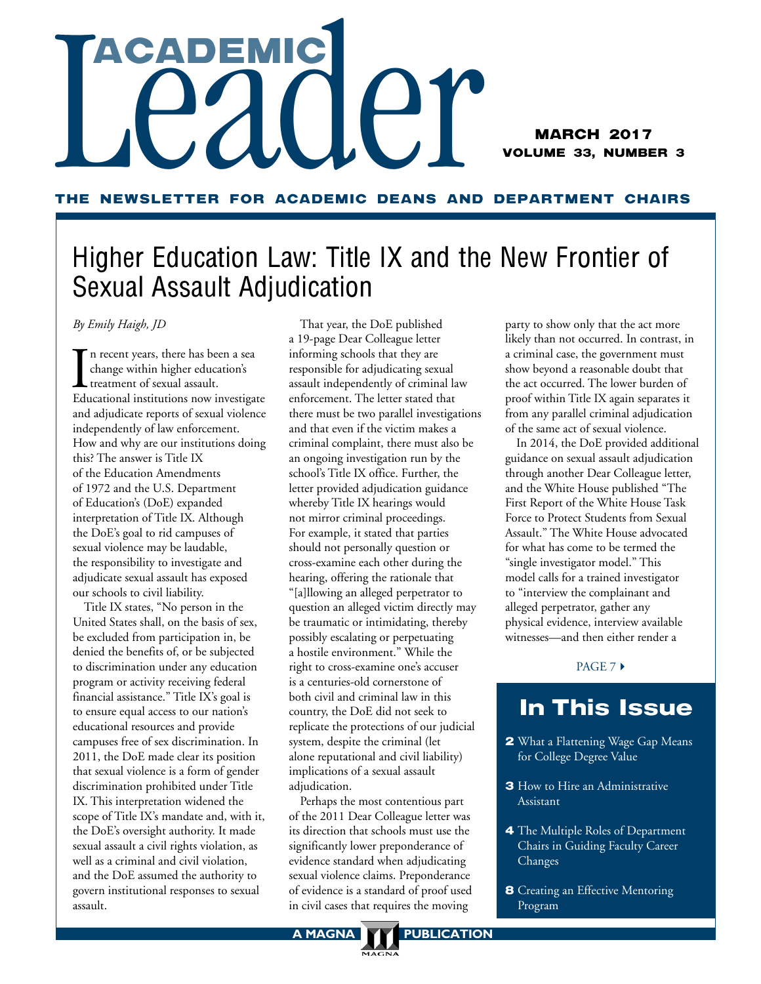# TACADEMIC CAP

MARCH 2017 VOLUME 33, NUMBER 3

### THE NEWSLETTER FOR ACADEMIC DEANS AND DEPARTMENT CHAIRS

# Higher Education Law: Title IX and the New Frontier of Sexual Assault Adjudication

*By Emily Haigh, JD*

I<sub>Edu</sub> n recent years, there has been a sea change within higher education's treatment of sexual assault. Educational institutions now investigate and adjudicate reports of sexual violence independently of law enforcement. How and why are our institutions doing this? The answer is Title IX of the Education Amendments of 1972 and the U.S. Department of Education's (DoE) expanded interpretation of Title IX. Although the DoE's goal to rid campuses of sexual violence may be laudable, the responsibility to investigate and adjudicate sexual assault has exposed our schools to civil liability.

Title IX states, "No person in the United States shall, on the basis of sex, be excluded from participation in, be denied the benefits of, or be subjected to discrimination under any education program or activity receiving federal financial assistance." Title IX's goal is to ensure equal access to our nation's educational resources and provide campuses free of sex discrimination. In 2011, the DoE made clear its position that sexual violence is a form of gender discrimination prohibited under Title IX. This interpretation widened the scope of Title IX's mandate and, with it, the DoE's oversight authority. It made sexual assault a civil rights violation, as well as a criminal and civil violation, and the DoE assumed the authority to govern institutional responses to sexual assault.

That year, the DoE published a 19-page Dear Colleague letter informing schools that they are responsible for adjudicating sexual assault independently of criminal law enforcement. The letter stated that there must be two parallel investigations and that even if the victim makes a criminal complaint, there must also be an ongoing investigation run by the school's Title IX office. Further, the letter provided adjudication guidance whereby Title IX hearings would not mirror criminal proceedings. For example, it stated that parties should not personally question or cross-examine each other during the hearing, offering the rationale that "[a]llowing an alleged perpetrator to question an alleged victim directly may be traumatic or intimidating, thereby possibly escalating or perpetuating a hostile environment." While the right to cross-examine one's accuser is a centuries-old cornerstone of both civil and criminal law in this country, the DoE did not seek to replicate the protections of our judicial system, despite the criminal (let alone reputational and civil liability) implications of a sexual assault adjudication.

Perhaps the most contentious part of the 2011 Dear Colleague letter was its direction that schools must use the significantly lower preponderance of evidence standard when adjudicating sexual violence claims. Preponderance of evidence is a standard of proof used in civil cases that requires the moving

party to show only that the act more likely than not occurred. In contrast, in a criminal case, the government must show beyond a reasonable doubt that the act occurred. The lower burden of proof within Title IX again separates it from any parallel criminal adjudication of the same act of sexual violence.

In 2014, the DoE provided additional guidance on sexual assault adjudication through another Dear Colleague letter, and the White House published "The First Report of the White House Task Force to Protect Students from Sexual Assault." The White House advocated for what has come to be termed the "single investigator model." This model calls for a trained investigator to "interview the complainant and alleged perpetrator, gather any physical evidence, interview available witnesses—and then either render a

### $PAGE 7+$

## In This Issue

- 2 What a Flattening Wage Gap Means for College Degree Value
- **3** How to Hire an Administrative Assistant
- 4 The Multiple Roles of Department Chairs in Guiding Faculty Career Changes
- **8** Creating an Effective Mentoring Program